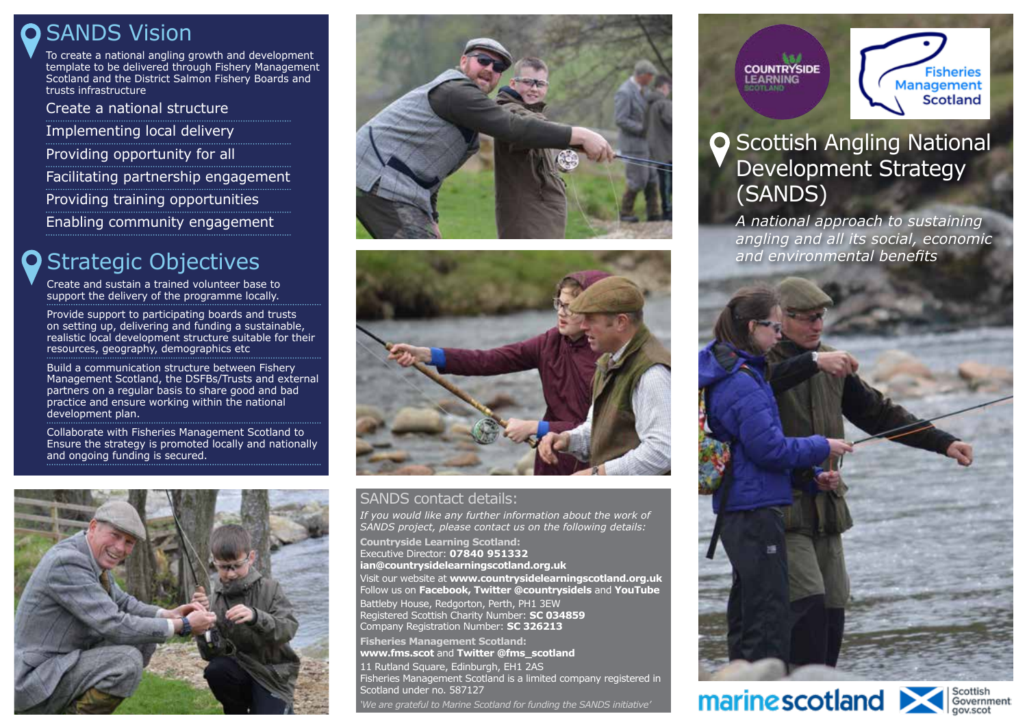### **O** SANDS Vision

To create a national angling growth and development template to be delivered through Fishery Management Scotland and the District Salmon Fishery Boards and trusts infrastructure

Create a national structure Implementing local delivery Providing opportunity for all Facilitating partnership engagement Providing training opportunities Enabling community engagement

### Strategic Objectives

Create and sustain a trained volunteer base to support the delivery of the programme locally.

Provide support to participating boards and trusts on setting up, delivering and funding a sustainable, realistic local development structure suitable for their resources, geography, demographics etc

Build a communication structure between Fishery Management Scotland, the DSFBs/Trusts and external partners on a regular basis to share good and bad practice and ensure working within the national development plan.

Collaborate with Fisheries Management Scotland to Ensure the strategy is promoted locally and nationally and ongoing funding is secured.







#### SANDS contact details:

*If you would like any further information about the work of SANDS project, please contact us on the following details:* **Countryside Learning Scotland:** Executive Director: **07840 951332 ian@countrysidelearningscotland.org.uk**  Visit our website at **www.countrysidelearningscotland.org.uk** Follow us on **Facebook, Twitter @countrysidels** and **YouTube** Battleby House, Redgorton, Perth, PH1 3EW Registered Scottish Charity Number: **SC 034859** Company Registration Number: **SC 326213 Fisheries Management Scotland: www.fms.scot** and **Twitter @fms\_scotland** 11 Rutland Square, Edinburgh, EH1 2AS

Fisheries Management Scotland is a limited company registered in Scotland under no. 587127

*'We are grateful to Marine Scotland for funding the SANDS initiative'*



**Fisheries** Management Scotland

### **O** Scottish Angling National Development Strategy (SANDS)

*A national approach to sustaining angling and all its social, economic and environmental benefits*



# marinescotland